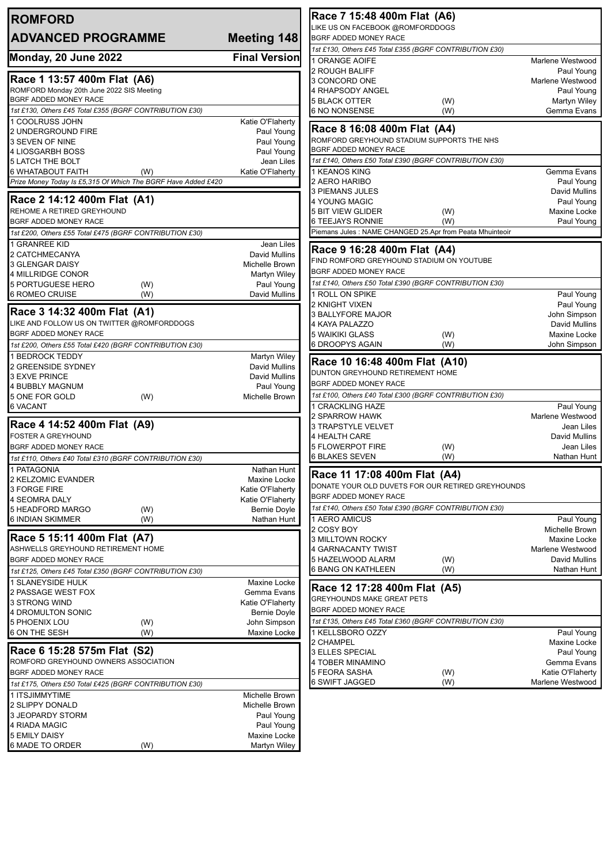| <b>ROMFORD</b>                                                                            |                                                           | Race 7 15:48 400m Flat (A6)                                                       |            |                              |
|-------------------------------------------------------------------------------------------|-----------------------------------------------------------|-----------------------------------------------------------------------------------|------------|------------------------------|
| <b>ADVANCED PROGRAMME</b>                                                                 | LIKE US ON FACEBOOK @ROMFORDDOGS<br>BGRF ADDED MONEY RACE |                                                                                   |            |                              |
|                                                                                           | Meeting 148                                               | 1st £130, Others £45 Total £355 (BGRF CONTRIBUTION £30)                           |            |                              |
| Monday, 20 June 2022                                                                      | <b>Final Version</b>                                      | 1 ORANGE AOIFE                                                                    |            | Marlene Westwood             |
|                                                                                           |                                                           | 2 ROUGH BALIFF                                                                    |            | Paul Young                   |
| Race 1 13:57 400m Flat (A6)                                                               |                                                           | 3 CONCORD ONE                                                                     |            | Marlene Westwood             |
| ROMFORD Monday 20th June 2022 SIS Meeting                                                 |                                                           | 4 RHAPSODY ANGEL                                                                  |            | Paul Young                   |
| BGRF ADDED MONEY RACE<br>1st £130, Others £45 Total £355 (BGRF CONTRIBUTION £30)          |                                                           | <b>5 BLACK OTTER</b>                                                              | (W)        | Martyn Wiley                 |
| 1 COOLRUSS JOHN                                                                           | Katie O'Flaherty                                          | 6 NO NONSENSE                                                                     | (W)        | Gemma Evans                  |
| 2 UNDERGROUND FIRE                                                                        | Paul Young                                                | Race 8 16:08 400m Flat (A4)                                                       |            |                              |
| 3 SEVEN OF NINE                                                                           | Paul Young                                                | ROMFORD GREYHOUND STADIUM SUPPORTS THE NHS                                        |            |                              |
| 4 LIOSGARBH BOSS                                                                          | Paul Young                                                | BGRF ADDED MONEY RACE                                                             |            |                              |
| <b>5 LATCH THE BOLT</b>                                                                   | Jean Liles                                                | 1st £140, Others £50 Total £390 (BGRF CONTRIBUTION £30)                           |            |                              |
| 6 WHATABOUT FAITH<br>(W)<br>Prize Money Today Is £5,315 Of Which The BGRF Have Added £420 | Katie O'Flaherty                                          | 1 KEANOS KING<br>2 AERO HARIBO                                                    |            | Gemma Evans<br>Paul Young    |
|                                                                                           |                                                           | 3 PIEMANS JULES                                                                   |            | David Mullins                |
| Race 2 14:12 400m Flat (A1)                                                               |                                                           | 4 YOUNG MAGIC                                                                     |            | Paul Young                   |
| REHOME A RETIRED GREYHOUND                                                                |                                                           | <b>5 BIT VIEW GLIDER</b>                                                          | (W)        | Maxine Locke                 |
| BGRF ADDED MONEY RACE                                                                     |                                                           | 6 TEEJAYS RONNIE                                                                  | (W)        | Paul Young                   |
| 1st £200, Others £55 Total £475 (BGRF CONTRIBUTION £30)                                   |                                                           | Piemans Jules : NAME CHANGED 25.Apr from Peata Mhuinteoir                         |            |                              |
| 1 GRANREE KID<br>2 CATCHMECANYA                                                           | Jean Liles<br><b>David Mullins</b>                        | Race 9 16:28 400m Flat (A4)                                                       |            |                              |
| 3 GLENGAR DAISY                                                                           | Michelle Brown                                            | FIND ROMFORD GREYHOUND STADIUM ON YOUTUBE                                         |            |                              |
| 4 MILLRIDGE CONOR                                                                         | Martyn Wiley                                              | BGRF ADDED MONEY RACE                                                             |            |                              |
| <b>5 PORTUGUESE HERO</b><br>(W)                                                           | Paul Young                                                | 1st £140, Others £50 Total £390 (BGRF CONTRIBUTION £30)                           |            |                              |
| 6 ROMEO CRUISE<br>(W)                                                                     | David Mullins                                             | 1 ROLL ON SPIKE                                                                   |            | Paul Young                   |
| Race 3 14:32 400m Flat (A1)                                                               |                                                           | 2 KNIGHT VIXEN<br>3 BALLYFORE MAJOR                                               |            | Paul Young<br>John Simpson   |
| LIKE AND FOLLOW US ON TWITTER @ROMFORDDOGS                                                |                                                           | 4 KAYA PALAZZO                                                                    |            | David Mullins                |
| BGRF ADDED MONEY RACE                                                                     |                                                           | 5 WAIKIKI GLASS                                                                   | (W)        | Maxine Locke                 |
| 1st £200, Others £55 Total £420 (BGRF CONTRIBUTION £30)                                   |                                                           | 6 DROOPYS AGAIN                                                                   | (W)        | John Simpson                 |
| 1 BEDROCK TEDDY                                                                           | Martyn Wiley                                              | Race 10 16:48 400m Flat (A10)                                                     |            |                              |
| 2 GREENSIDE SYDNEY                                                                        | David Mullins                                             | DUNTON GREYHOUND RETIREMENT HOME                                                  |            |                              |
| 3 EXVE PRINCE<br><b>4 BUBBLY MAGNUM</b>                                                   | David Mullins<br>Paul Young                               | BGRF ADDED MONEY RACE                                                             |            |                              |
| (W)<br>5 ONE FOR GOLD                                                                     | Michelle Brown                                            | 1st £100, Others £40 Total £300 (BGRF CONTRIBUTION £30)                           |            |                              |
| <b>6 VACANT</b>                                                                           |                                                           | 1 CRACKLING HAZE                                                                  |            | Paul Young                   |
|                                                                                           |                                                           | 2 SPARROW HAWK                                                                    |            | Marlene Westwood             |
| Race 4 14:52 400m Flat (A9)<br><b>FOSTER A GREYHOUND</b>                                  |                                                           | <b>3 TRAPSTYLE VELVET</b><br><b>4 HEALTH CARE</b>                                 |            | Jean Liles<br>David Mullins  |
| <b>BGRF ADDED MONEY RACE</b>                                                              |                                                           | <b>5 FLOWERPOT FIRE</b>                                                           | (W)        | Jean Liles                   |
| 1st £110, Others £40 Total £310 (BGRF CONTRIBUTION £30)                                   |                                                           | 6 BLAKES SEVEN                                                                    | (W)        | Nathan Hunt                  |
| 1 PATAGONIA                                                                               | Nathan Hunt                                               |                                                                                   |            |                              |
| 2 KELZOMIC EVANDER                                                                        | Maxine Locke                                              | Race 11 17:08 400m Flat (A4)<br>DONATE YOUR OLD DUVETS FOR OUR RETIRED GREYHOUNDS |            |                              |
| 3 FORGE FIRE                                                                              | Katie O'Flaherty                                          | BGRF ADDED MONEY RACE                                                             |            |                              |
| <b>4 SEOMRA DALY</b><br>5 HEADFORD MARGO                                                  | Katie O'Flaherty                                          | 1st £140, Others £50 Total £390 (BGRF CONTRIBUTION £30)                           |            |                              |
| (W)<br><b>6 INDIAN SKIMMER</b><br>(W)                                                     | Bernie Doyle<br>Nathan Hunt                               | 1 AERO AMICUS                                                                     |            | Paul Young                   |
|                                                                                           |                                                           | 2 COSY BOY                                                                        |            | Michelle Brown               |
| Race 5 15:11 400m Flat (A7)                                                               |                                                           | 3 MILLTOWN ROCKY                                                                  |            | Maxine Locke                 |
| ASHWELLS GREYHOUND RETIREMENT HOME                                                        |                                                           | 4 GARNACANTY TWIST                                                                |            | Marlene Westwood             |
| BGRF ADDED MONEY RACE<br>1st £125, Others £45 Total £350 (BGRF CONTRIBUTION £30)          |                                                           | 5 HAZELWOOD ALARM<br>6 BANG ON KATHLEEN                                           | (W)<br>(W) | David Mullins<br>Nathan Hunt |
| 1 SLANEYSIDE HULK                                                                         | Maxine Locke                                              |                                                                                   |            |                              |
| 2 PASSAGE WEST FOX                                                                        | Gemma Evans                                               | Race 12 17:28 400m Flat (A5)                                                      |            |                              |
| 3 STRONG WIND                                                                             | Katie O'Flaherty                                          | <b>GREYHOUNDS MAKE GREAT PETS</b>                                                 |            |                              |
| 4 DROMULTON SONIC                                                                         | Bernie Doyle                                              | BGRF ADDED MONEY RACE                                                             |            |                              |
| 5 PHOENIX LOU<br>(W)                                                                      | John Simpson                                              | 1st £135, Others £45 Total £360 (BGRF CONTRIBUTION £30)                           |            |                              |
| 6 ON THE SESH<br>(W)                                                                      | Maxine Locke                                              | 1 KELLSBORO OZZY<br>2 CHAMPEL                                                     |            | Paul Young<br>Maxine Locke   |
| Race 6 15:28 575m Flat (S2)                                                               |                                                           | 3 ELLES SPECIAL                                                                   |            | Paul Young                   |
| ROMFORD GREYHOUND OWNERS ASSOCIATION                                                      |                                                           | 4 TOBER MINAMINO                                                                  |            | Gemma Evans                  |
| BGRF ADDED MONEY RACE                                                                     |                                                           | 5 FEORA SASHA                                                                     | (W)        | Katie O'Flaherty             |
| 1st £175, Others £50 Total £425 (BGRF CONTRIBUTION £30)                                   |                                                           | 6 SWIFT JAGGED                                                                    | (W)        | Marlene Westwood             |
| 1 ITSJIMMYTIME                                                                            | Michelle Brown                                            |                                                                                   |            |                              |
| 2 SLIPPY DONALD<br>3 JEOPARDY STORM                                                       | Michelle Brown<br>Paul Young                              |                                                                                   |            |                              |
| 4 RIADA MAGIC                                                                             | Paul Young                                                |                                                                                   |            |                              |
| <b>5 EMILY DAISY</b>                                                                      | Maxine Locke                                              |                                                                                   |            |                              |
| 6 MADE TO ORDER<br>(W)                                                                    | Martyn Wiley                                              |                                                                                   |            |                              |